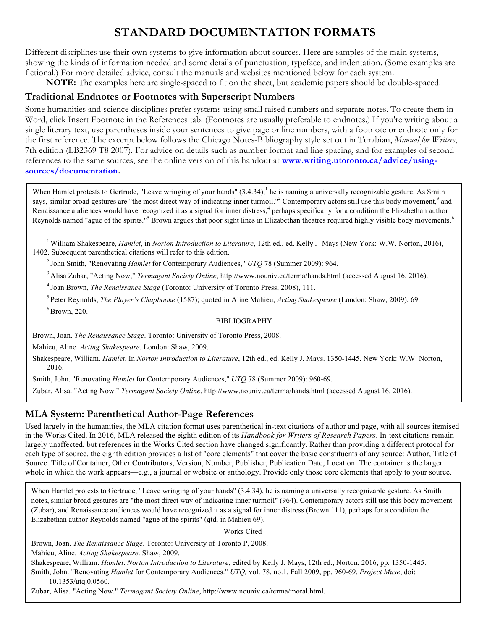# **STANDARD DOCUMENTATION FORMATS**

Different disciplines use their own systems to give information about sources. Here are samples of the main systems, showing the kinds of information needed and some details of punctuation, typeface, and indentation. (Some examples are fictional.) For more detailed advice, consult the manuals and websites mentioned below for each system.

**NOTE:** The examples here are single-spaced to fit on the sheet, but academic papers should be double-spaced.

#### **Traditional Endnotes or Footnotes with Superscript Numbers**

Some humanities and science disciplines prefer systems using small raised numbers and separate notes. To create them in Word, click Insert Footnote in the References tab. (Footnotes are usually preferable to endnotes.) If you're writing about a single literary text, use parentheses inside your sentences to give page or line numbers, with a footnote or endnote only for the first reference. The excerpt below follows the Chicago Notes-Bibliography style set out in Turabian, *Manual for Writers*, 7th edition (LB2369 T8 2007). For advice on details such as number format and line spacing, and for examples of second references to the same sources, see the online version of this handout at **www.writing.utoronto.ca/advice/usingsources/documentation.**

When Hamlet protests to Gertrude, "Leave wringing of your hands"  $(3.4.34)$ , he is naming a universally recognizable gesture. As Smith says, similar broad gestures are "the most direct way of indicating inner turmoil."<sup>2</sup> Contemporary actors still use this body movement,<sup>3</sup> and Renaissance audiences would have recognized it as a signal for inner distress,<sup>4</sup> perhaps specifically for a condition the Elizabethan author Reynolds named "ague of the spirits."<sup>5</sup> Brown argues that poor sight lines in Elizabethan theatres required highly visible body movements.<sup>6</sup>

<sup>1</sup> William Shakespeare, *Hamlet*, in *Norton Introduction to Literature*, 12th ed., ed. Kelly J. Mays (New York: W.W. Norton, 2016), 1402. Subsequent parenthetical citations will refer to this edition.

2 John Smith, "Renovating *Hamlet* for Contemporary Audiences," *UTQ* 78 (Summer 2009): 964.

3 Alisa Zubar, "Acting Now," *Termagant Society Online*, http://www.nouniv.ca/terma/hands.html (accessed August 16, 2016).

4 Joan Brown, *The Renaissance Stage* (Toronto: University of Toronto Press, 2008), 111.

5 Peter Reynolds, *The Player's Chapbooke* (1587); quoted in Aline Mahieu, *Acting Shakespeare* (London: Shaw, 2009), 69.  $6$  Brown, 220.

#### BIBLIOGRAPHY

Brown, Joan. *The Renaissance Stage*. Toronto: University of Toronto Press, 2008.

Mahieu, Aline. *Acting Shakespeare*. London: Shaw, 2009.

Shakespeare, William. *Hamlet*. In *Norton Introduction to Literature*, 12th ed., ed. Kelly J. Mays. 1350-1445. New York: W.W. Norton, 2016.

Smith, John. "Renovating *Hamlet* for Contemporary Audiences," *UTQ* 78 (Summer 2009): 960-69.

Zubar, Alisa. "Acting Now." *Termagant Society Online*. http://www.nouniv.ca/terma/hands.html (accessed August 16, 2016).

#### **MLA System: Parenthetical Author-Page References**

Used largely in the humanities, the MLA citation format uses parenthetical in-text citations of author and page, with all sources itemised in the Works Cited. In 2016, MLA released the eighth edition of its *Handbook for Writers of Research Papers*. In-text citations remain largely unaffected, but references in the Works Cited section have changed significantly. Rather than providing a different protocol for each type of source, the eighth edition provides a list of "core elements" that cover the basic constituents of any source: Author, Title of Source. Title of Container, Other Contributors, Version, Number, Publisher, Publication Date, Location. The container is the larger whole in which the work appears—e.g., a journal or website or anthology. Provide only those core elements that apply to your source.

When Hamlet protests to Gertrude, "Leave wringing of your hands" (3.4.34), he is naming a universally recognizable gesture. As Smith notes, similar broad gestures are "the most direct way of indicating inner turmoil" (964). Contemporary actors still use this body movement (Zubar), and Renaissance audiences would have recognized it as a signal for inner distress (Brown 111), perhaps for a condition the Elizabethan author Reynolds named "ague of the spirits" (qtd. in Mahieu 69).

Works Cited

Brown, Joan. *The Renaissance Stage*. Toronto: University of Toronto P, 2008. Mahieu, Aline. *Acting Shakespeare*. Shaw, 2009.

Shakespeare, William. *Hamlet*. *Norton Introduction to Literature*, edited by Kelly J. Mays, 12th ed., Norton, 2016, pp. 1350-1445. Smith, John. "Renovating *Hamlet* for Contemporary Audiences." *UTQ,* vol. 78, no.1, Fall 2009, pp. 960-69. *Project Muse*, doi: 10.1353/utq.0.0560.

Zubar, Alisa. "Acting Now." *Termagant Society Online*, http://www.nouniv.ca/terma/moral.html.